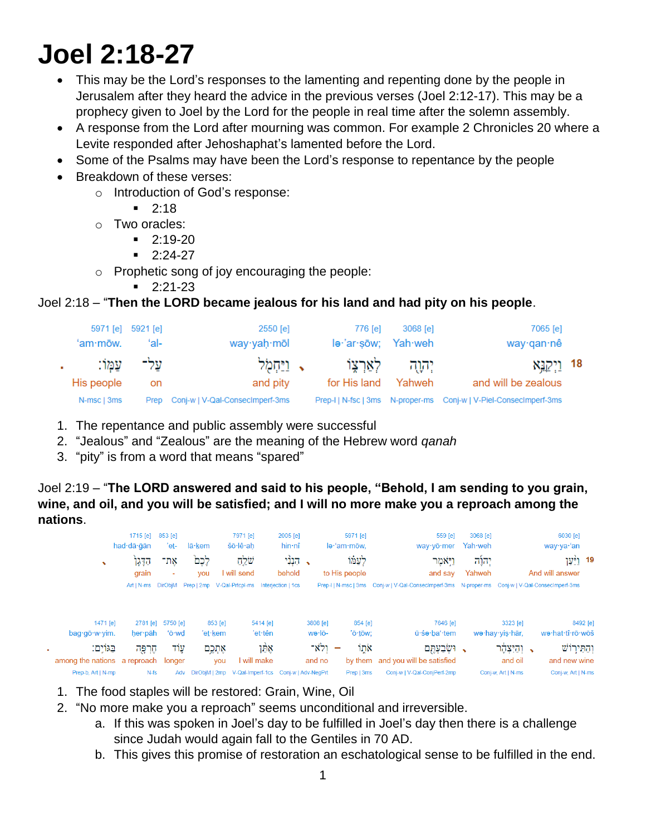# **Joel 2:18-27**

- This may be the Lord's responses to the lamenting and repenting done by the people in Jerusalem after they heard the advice in the previous verses (Joel 2:12-17). This may be a prophecy given to Joel by the Lord for the people in real time after the solemn assembly.
- A response from the Lord after mourning was common. For example 2 Chronicles 20 where a Levite responded after Jehoshaphat's lamented before the Lord.
- Some of the Psalms may have been the Lord's response to repentance by the people
- Breakdown of these verses:
	- o Introduction of God's response:
		- $-2:18$
	- o Two oracles:
		- $-2:19-20$ 
			- $-2:24-27$
	- o Prophetic song of joy encouraging the people:
		- $-2:21-23$

## Joel 2:18 – "**Then the LORD became jealous for his land and had pity on his people**.

| 7065 [e]<br>way∙qan∙nê                                                  | 3068 [e] | 776 [e]<br>le·'ar·sōw; Yah·weh | 2550 [e]<br>way·yaḥ·mōl         | 5971 [e] 5921 [e]<br>ʻal- | 'am·mōw.    |
|-------------------------------------------------------------------------|----------|--------------------------------|---------------------------------|---------------------------|-------------|
| 18 וַיִּקְנֵא                                                           |          | יְהָוֻה לְאַרְצָוֹ             | ןײַחְמְל $\,$                   | ַעֲלִ־ עֲמֶוֹ             |             |
| and will be zealous                                                     | Yahweh   | for His land                   | and pity                        | on                        | His people  |
| Prep-I   N-fsc   3ms    N-proper-ms    Conj-w   V-Piel-Consectmperf-3ms |          |                                | Conj-w   V-Qal-ConsecImperf-3ms | Prep                      | N-msc   3ms |

- 1. The repentance and public assembly were successful
- 2. "Jealous" and "Zealous" are the meaning of the Hebrew word *qanah*
- 3. "pity" is from a word that means "spared"

Joel 2:19 – "**The LORD answered and said to his people, "Behold, I am sending to you grain, wine, and oil, and you will be satisfied; and I will no more make you a reproach among the nations**.

|                                        | 1715 [e] 853 [e]<br>had dā ān | 'et-              | lā·kem                      | 7971 [e]<br>šō·lê·ah                 | 2005 [e]<br>hin nî       | 5971 [e]<br>le·'am·mōw. | 559 [e]<br>way · yō · mer                                                                        | 3068 [e]<br>Yah weh |                             | 6030 [e]<br>way·ya·'an               |
|----------------------------------------|-------------------------------|-------------------|-----------------------------|--------------------------------------|--------------------------|-------------------------|--------------------------------------------------------------------------------------------------|---------------------|-----------------------------|--------------------------------------|
| $\mathbf{v}$                           | הַדָּגָן<br>grain             | אָת־<br>$\sim$    | לְכֶם<br><b>VOU</b>         | שׁלֵחַ<br>I will send                | הַבְּבָ $\sim$<br>behold | לעמר<br>to His people   | וַיֹּאמֶר<br>and say                                                                             | יהוה:<br>Yahweh     |                             | 19 <u>וי</u> ֿעַן<br>And will answer |
|                                        | Art   N-ms  DirObiM           |                   | Prep   2mp                  | V-Qal-Prtcpl-ms                      | Interjection   1cs       |                         | Prep-I   N-msc   3ms Conj-w   V-Qal-Consecimperf-3ms N-proper-ms Conj-w   V-Qal-Consecimperf-3ms |                     |                             |                                      |
| 1471 [e]<br>bag.gō.w.yim.              | 2781 [e]<br>her∙pāh           | 5750 [e]<br>'ō·wd | 853 [e]<br>'e <u>t</u> ·kem | 5414 [e]<br>'et·tên                  | 3808 [e]<br>wə·lō-       | 854 [e]<br>'ō·tōw:      | 7646 [e]<br>ū·śə·ba'·tem                                                                         |                     | 3323 [e]<br>wə·hay·yiş·hār, | 8492 [e]<br>we·hat·tî·rō·wōš         |
| בגוים:<br>among the nations a reproach | הָרְפָּה                      | עֲוֹד<br>longer   | אֶתְכֶם<br>you              | אָמַן<br>I will make                 | ולא־<br>and no           | ink<br>$\sim$           | ושבעתם<br>by them and you will be satisfied                                                      | $\cdot$             | ּי וְהַיִּצְהָר<br>and oil  | וְהַתִּירוֹשׁ<br>and new wine        |
| Prep-b, Art   N-mp                     | N-fs                          | Adv               | DirObjM   2mp               | V-Qal-Imperf-1cs Conj-w   Adv-NeqPrt |                          | Prep   3ms              | Conj-w   V-Qal-ConjPerf-2mp                                                                      |                     | Conj-w, Art   N-ms          | Conj-w, Art   N-ms                   |

- 1. The food staples will be restored: Grain, Wine, Oil
- 2. "No more make you a reproach" seems unconditional and irreversible.
	- a. If this was spoken in Joel's day to be fulfilled in Joel's day then there is a challenge since Judah would again fall to the Gentiles in 70 AD.
	- b. This gives this promise of restoration an eschatological sense to be fulfilled in the end.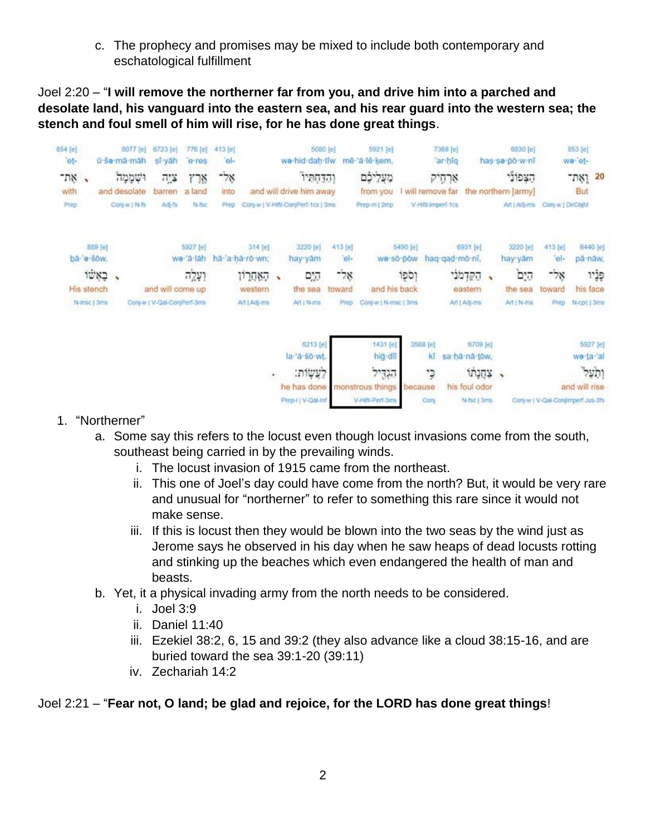c. The prophecy and promises may be mixed to include both contemporary and eschatological fulfillment

Joel 2:20 – "**I will remove the northerner far from you, and drive him into a parched and desolate land, his vanguard into the eastern sea, and his rear guard into the western sea; the stench and foul smell of him will rise, for he has done great things**.

| 854 [e]<br>et-                    | 8077 [e]<br>û se mâ mâh                | 6723 [e]<br>si yah                              | 776 [e]<br>e res       | 413 [e]<br> e       |                                   |                      | 5080 [e]<br>we hid dah tiw                                                  |                       | 5921 [e]<br>mê 'á lê kem.                                            |                       | 7368 [e]<br>ar hig                            |                                                                    |   | 6830 [e]<br>has so powni                      |                       | 853 [e]<br>we et-                                                                  |
|-----------------------------------|----------------------------------------|-------------------------------------------------|------------------------|---------------------|-----------------------------------|----------------------|-----------------------------------------------------------------------------|-----------------------|----------------------------------------------------------------------|-----------------------|-----------------------------------------------|--------------------------------------------------------------------|---|-----------------------------------------------|-----------------------|------------------------------------------------------------------------------------|
| ns.<br>with<br>Prep               | ושממה<br>and desolate<br>Conj-w   N-fs | $7\%$<br>barren<br>高生                           | ארז<br>a land<br>N-fsc | -58<br>into<br>Prep |                                   |                      | והדחתיו<br>and will drive him away<br>Conj-w   V-Hill-ConjPerf-1cs   3ms    |                       | מעליכם<br>from you<br>Prep-m   2mp                                   |                       | ארחיק<br>will remove far<br>V-Hift-Imperf-1cs |                                                                    |   | הצפוני<br>the northern [army]<br>Art   Adj-ms | Conj-w   DirObjM      | 20 וְאֶת־<br>But                                                                   |
| 889 [e]<br>ba a sow,              |                                        |                                                 | 5927 [e]<br>we a lah   |                     | 314 [e]<br>há a há ró wn;         |                      | 3220 [e]<br>hay yam                                                         | 413 [e]<br>$0 -$      |                                                                      | 5490 [e]<br>wa so pow | haq-qad-mô-ni,                                | 6931 [e]                                                           |   | 3220 [e]<br>hay yam                           | 413 [e]<br>$\Theta$   | 6440 [e]<br>pā nāw,                                                                |
| באשו<br>His stench<br>N-msc   3ms | ٠                                      | and will come up<br>Conj-w   V-Qal-ConjPerf-3ms | ועלה                   |                     | האחרון<br>western<br>Art   Adj-ms | $\ddot{\phantom{1}}$ | הים<br>the sea<br>Art   N-ms                                                | -58<br>toward<br>Prep | and his back<br>Conj-w   N-msc   3ms                                 | וספו                  |                                               | הקדמני<br>eastern<br>Art   Adj-ms                                  | ٠ | הים<br>the sea<br>Art   N-ms                  | -58<br>toward<br>Prep | פְּנָיו<br>his face<br>N-cpc   3ms                                                 |
|                                   |                                        |                                                 |                        |                     |                                   |                      | 6213 [e]<br>la a so wt.<br>לְעֲשָׂוֹת:<br>he has done<br>Prep-1   V-Qal-Inf |                       | 1431 [e]<br>hig-dil<br>הגדיל<br>monstrous things<br>V-Hifti-Perf-3ms | because               | 358B [e]<br>kî<br>p<br>Core                   | 6709 [e]<br>sa ha na tow,<br>צחנתו<br>his foul odor<br>N-fsc   3ms |   | $\mathcal{L}$                                 |                       | 5927 [e]<br>we ta al<br>ותעל<br>and will rise<br>Conj-w   V-Cal-Conjimperf.3us-3fs |

- 1. "Northerner"
	- a. Some say this refers to the locust even though locust invasions come from the south, southeast being carried in by the prevailing winds.
		- i. The locust invasion of 1915 came from the northeast.
		- ii. This one of Joel's day could have come from the north? But, it would be very rare and unusual for "northerner" to refer to something this rare since it would not make sense.
		- iii. If this is locust then they would be blown into the two seas by the wind just as Jerome says he observed in his day when he saw heaps of dead locusts rotting and stinking up the beaches which even endangered the health of man and beasts.
	- b. Yet, it a physical invading army from the north needs to be considered.
		- i. Joel 3:9
		- ii. Daniel 11:40
		- iii. Ezekiel 38:2, 6, 15 and 39:2 (they also advance like a cloud 38:15-16, and are buried toward the sea 39:1-20 (39:11)
		- iv. Zechariah 14:2

### Joel 2:21 – "**Fear not, O land; be glad and rejoice, for the LORD has done great things**!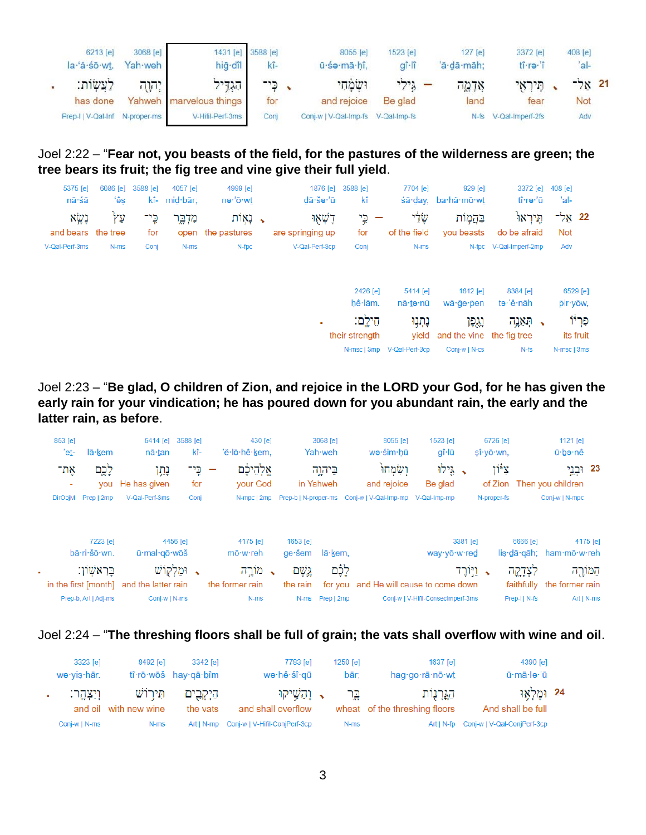| 6213 [e]<br>la·'ă·sō·wt.       | 3068 [e]<br>Yah weh | hig dîl                 | 1431 [e] 3588 [e]<br>kî- | 8055 [e]<br>ū śa mā hî.            | 1523 [e]<br>$q\hat{i}$ -lî     | $127$ [e]<br>'ă dā māh: | 3372 [e]<br>tî ra î   | 408 [e]<br>'al- |  |
|--------------------------------|---------------------|-------------------------|--------------------------|------------------------------------|--------------------------------|-------------------------|-----------------------|-----------------|--|
| לַעֲשָׂוֹת:                    | ן יהוה              | הגדיל                   | ַ כֶּי־                  | ושמחי                              | $\mathbf{r}$ גילי $\mathbf{r}$ | אַדָמֱה                 | תיראי                 | $-5x$ 21        |  |
| has done                       |                     | Yahweh marvelous things | for                      | and rejoice                        | Be glad                        | land                    | tear                  | Not             |  |
| Prep-I   V-Qal-Inf N-proper-ms |                     | V-Hifil-Perf-3ms        | Conj                     | Conj-w   V-Qal-Imp-fs V-Qal-Imp-fs |                                |                         | N-fs V-Qal-Imperf-2fs | Adv             |  |

#### Joel 2:22 – "**Fear not, you beasts of the field, for the pastures of the wilderness are green; the tree bears its fruit; the fig tree and vine give their full yield**.

| 5375 [e]<br>nā·śā            | 6086 [e]<br>ʻêş | 3588 [e]     | 4057 [e]<br>kî- mid·bār; | 4999 [e]<br>nə∙'ō·wt            | 1876 [e]<br>$d\bar{a}\cdot \tilde{s}$ ə $\cdot$ 'ū | 3588 [e]<br>kî | 7704 [e]                   | 929 [e]<br>śā·day, ba·hă·mō·wt  | 3372 [e]<br>tî∗rə∙'ū      | 408 [e]<br>'al-       |           |
|------------------------------|-----------------|--------------|--------------------------|---------------------------------|----------------------------------------------------|----------------|----------------------------|---------------------------------|---------------------------|-----------------------|-----------|
| נְשָׂא<br>and bears the tree | ΥŸ              | כֶּי־<br>for | מִדְבֶר                  | ַ, נְאִוֹת<br>open the pastures | דָשְׁאָוּ<br>are springing up                      | כֶּי<br>for    | שַּׂלַי<br>of the field    | בהמות<br>vou beasts             | תֵּירְאוֹ<br>do be afraid | 22 אַל־<br><b>Not</b> |           |
| V-Qal-Perf-3ms               | N-ms            | Conj         | N-ms                     | N-fpc                           | V-Qal-Perf-3cp                                     | Conj           | N-ms                       |                                 | N-fpc V-Qal-Imperf-2mp    | Adv                   |           |
|                              |                 |              |                          |                                 |                                                    |                |                            |                                 |                           |                       |           |
|                              |                 |              |                          |                                 |                                                    | 2426 [e]       | 5414 [e]                   | 1612 [e]                        | 8384 [e]                  |                       | 6529 [e]  |
|                              |                 |              |                          |                                 |                                                    | hê lām.        | nā∙tə∙nū                   | wā·ge·pen                       | te 'ê nāh                 |                       | pir yow,  |
|                              |                 |              |                          |                                 | ٠                                                  | חֵילֵם:        | נְתְנִוּ                   | נגפו                            | ַ הְאֵנֶה $\,$            |                       | פְּרְיוֹ  |
|                              |                 |              |                          |                                 |                                                    | their strength |                            | yield and the vine the fig tree |                           |                       | its fruit |
|                              |                 |              |                          |                                 |                                                    |                | N-msc   3mp V-Qal-Perf-3cp | Conj-w   N-cs                   | $N-fs$                    | N-msc   3ms           |           |

Joel 2:23 – "**Be glad, O children of Zion, and rejoice in the LORD your God, for he has given the early rain for your vindication; he has poured down for you abundant rain, the early and the latter rain, as before**.



#### Joel 2:24 – "**The threshing floors shall be full of grain; the vats shall overflow with wine and oil**.

| 3323 [e]<br>wə·yis·hār. | 8492 [e]                           | 3342 [e]<br>$t\hat{i}\cdot r\bar{o}\cdot w\bar{o}\dot{s}$ hay $q\bar{a}\cdot b\hat{i}m$ | 7783 [e]<br>wə∙hê∙šî∙gū                      | $1250$ [e]<br>bār: | 1637 [e]<br>hag $qo \rceil$ rā $n\bar{o} \cdot wt$ | 4390 [e]<br>ū·mā·le·'ū          |  |
|-------------------------|------------------------------------|-----------------------------------------------------------------------------------------|----------------------------------------------|--------------------|----------------------------------------------------|---------------------------------|--|
| וִיִצְהֵר:              | תִּירוֹשׁ<br>and oil with new wine | הַיִּקְבִים<br>the vats                                                                 | ר והַשֵּׁיקוּ <b>.</b><br>and shall overflow | בֵּר               | הֵגְרַנְוֹת<br>wheat of the threshing floors       | 24 ומַלְאו<br>And shall be full |  |
| Conj-w   N-ms           | N-ms                               |                                                                                         | Art   N-mp Conj-w   V-Hifil-ConjPerf-3cp     | N-ms               | Art I N-fp                                         | Conj-w   V-Qal-ConjPerf-3cp     |  |